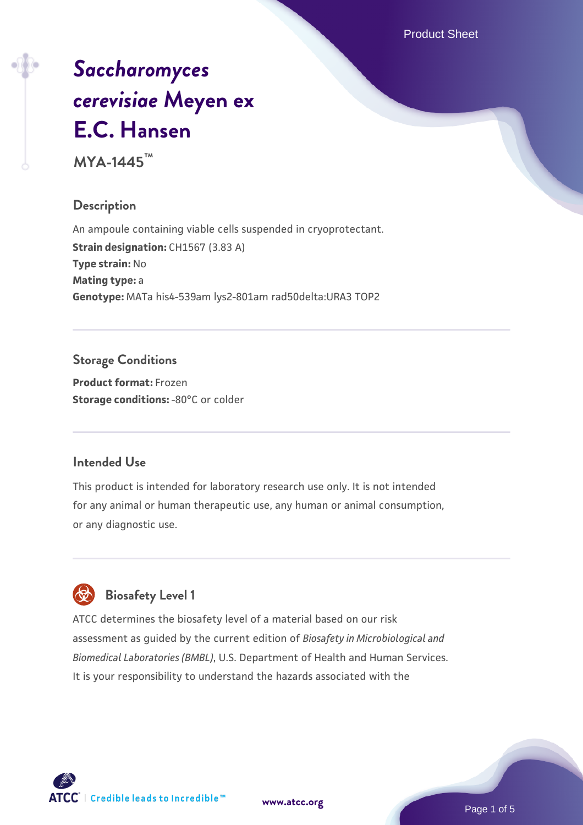Product Sheet

# *[Saccharomyces](https://www.atcc.org/products/mya-1445) [cerevisiae](https://www.atcc.org/products/mya-1445)* **[Meyen ex](https://www.atcc.org/products/mya-1445) [E.C. Hansen](https://www.atcc.org/products/mya-1445)**

**MYA-1445™**

# **Description**

An ampoule containing viable cells suspended in cryoprotectant. **Strain designation: CH1567 (3.83 A) Type strain:** No **Mating type:** a **Genotype:** MATa his4-539am lys2-801am rad50delta:URA3 TOP2

# **Storage Conditions**

**Product format:** Frozen **Storage conditions: -80°C or colder** 

# **Intended Use**

This product is intended for laboratory research use only. It is not intended for any animal or human therapeutic use, any human or animal consumption, or any diagnostic use.

# **Biosafety Level 1**

ATCC determines the biosafety level of a material based on our risk assessment as guided by the current edition of *Biosafety in Microbiological and Biomedical Laboratories (BMBL)*, U.S. Department of Health and Human Services. It is your responsibility to understand the hazards associated with the

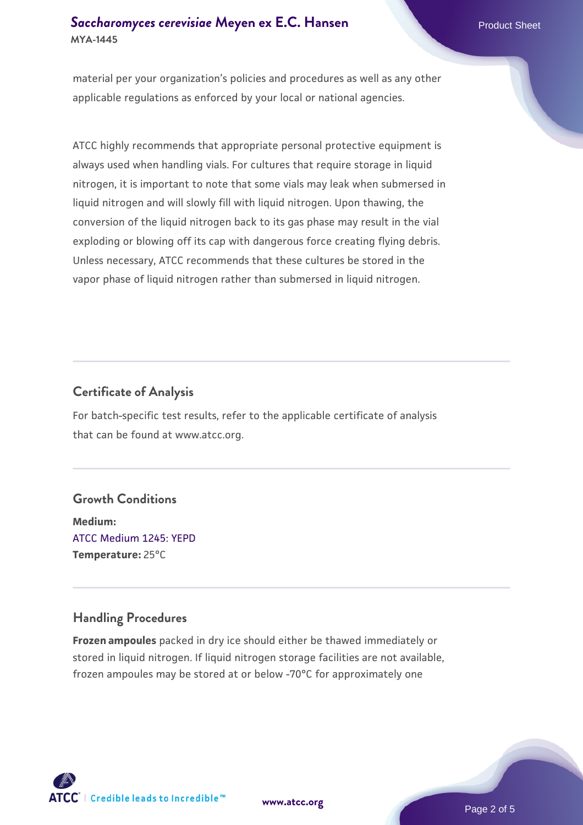## **[Saccharomyces cerevisiae](https://www.atcc.org/products/mya-1445)** [Meyen ex E.C. Hansen](https://www.atcc.org/products/mya-1445) **MYA-1445**

material per your organization's policies and procedures as well as any other applicable regulations as enforced by your local or national agencies.

ATCC highly recommends that appropriate personal protective equipment is always used when handling vials. For cultures that require storage in liquid nitrogen, it is important to note that some vials may leak when submersed in liquid nitrogen and will slowly fill with liquid nitrogen. Upon thawing, the conversion of the liquid nitrogen back to its gas phase may result in the vial exploding or blowing off its cap with dangerous force creating flying debris. Unless necessary, ATCC recommends that these cultures be stored in the vapor phase of liquid nitrogen rather than submersed in liquid nitrogen.

# **Certificate of Analysis**

For batch-specific test results, refer to the applicable certificate of analysis that can be found at www.atcc.org.

# **Growth Conditions**

**Medium:**  [ATCC Medium 1245: YEPD](https://www.atcc.org/-/media/product-assets/documents/microbial-media-formulations/1/2/4/5/atcc-medium-1245.pdf?rev=705ca55d1b6f490a808a965d5c072196) **Temperature:** 25°C

# **Handling Procedures**

**Frozen ampoules** packed in dry ice should either be thawed immediately or stored in liquid nitrogen. If liquid nitrogen storage facilities are not available, frozen ampoules may be stored at or below -70°C for approximately one



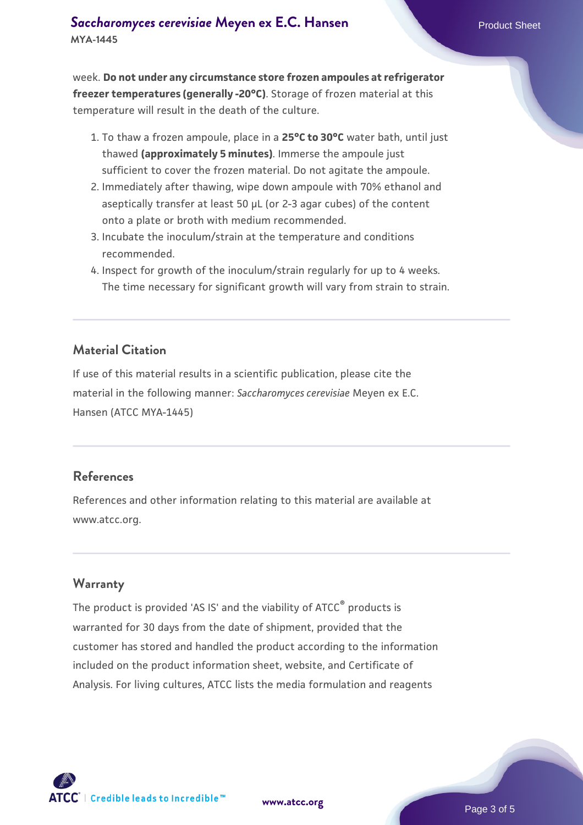week. **Do not under any circumstance store frozen ampoules at refrigerator freezer temperatures (generally -20°C)**. Storage of frozen material at this temperature will result in the death of the culture.

- 1. To thaw a frozen ampoule, place in a **25°C to 30°C** water bath, until just thawed **(approximately 5 minutes)**. Immerse the ampoule just sufficient to cover the frozen material. Do not agitate the ampoule.
- 2. Immediately after thawing, wipe down ampoule with 70% ethanol and aseptically transfer at least 50 µL (or 2-3 agar cubes) of the content onto a plate or broth with medium recommended.
- Incubate the inoculum/strain at the temperature and conditions 3. recommended.
- 4. Inspect for growth of the inoculum/strain regularly for up to 4 weeks. The time necessary for significant growth will vary from strain to strain.

#### **Material Citation**

If use of this material results in a scientific publication, please cite the material in the following manner: *Saccharomyces cerevisiae* Meyen ex E.C. Hansen (ATCC MYA-1445)

#### **References**

References and other information relating to this material are available at www.atcc.org.

#### **Warranty**

The product is provided 'AS IS' and the viability of ATCC® products is warranted for 30 days from the date of shipment, provided that the customer has stored and handled the product according to the information included on the product information sheet, website, and Certificate of Analysis. For living cultures, ATCC lists the media formulation and reagents

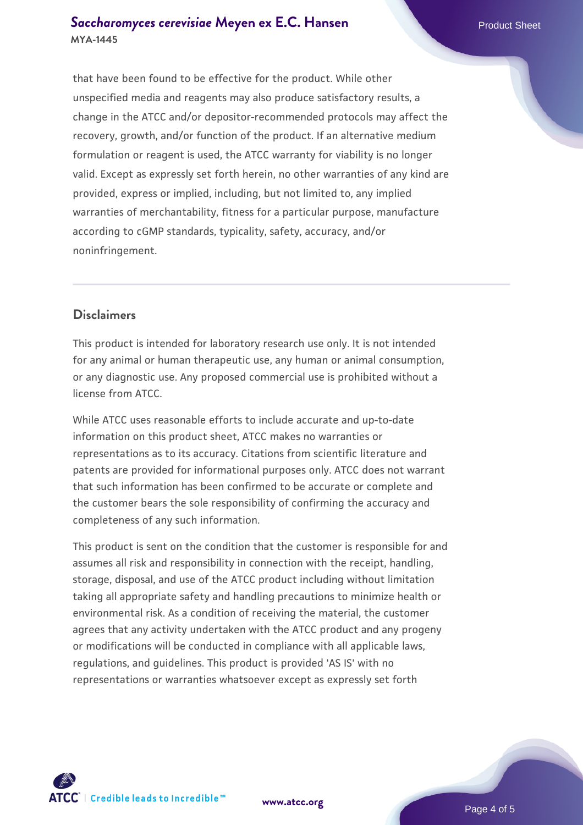#### **[Saccharomyces cerevisiae](https://www.atcc.org/products/mya-1445)** [Meyen ex E.C. Hansen](https://www.atcc.org/products/mya-1445) **MYA-1445**

that have been found to be effective for the product. While other unspecified media and reagents may also produce satisfactory results, a change in the ATCC and/or depositor-recommended protocols may affect the recovery, growth, and/or function of the product. If an alternative medium formulation or reagent is used, the ATCC warranty for viability is no longer valid. Except as expressly set forth herein, no other warranties of any kind are provided, express or implied, including, but not limited to, any implied warranties of merchantability, fitness for a particular purpose, manufacture according to cGMP standards, typicality, safety, accuracy, and/or noninfringement.

## **Disclaimers**

This product is intended for laboratory research use only. It is not intended for any animal or human therapeutic use, any human or animal consumption, or any diagnostic use. Any proposed commercial use is prohibited without a license from ATCC.

While ATCC uses reasonable efforts to include accurate and up-to-date information on this product sheet, ATCC makes no warranties or representations as to its accuracy. Citations from scientific literature and patents are provided for informational purposes only. ATCC does not warrant that such information has been confirmed to be accurate or complete and the customer bears the sole responsibility of confirming the accuracy and completeness of any such information.

This product is sent on the condition that the customer is responsible for and assumes all risk and responsibility in connection with the receipt, handling, storage, disposal, and use of the ATCC product including without limitation taking all appropriate safety and handling precautions to minimize health or environmental risk. As a condition of receiving the material, the customer agrees that any activity undertaken with the ATCC product and any progeny or modifications will be conducted in compliance with all applicable laws, regulations, and guidelines. This product is provided 'AS IS' with no representations or warranties whatsoever except as expressly set forth